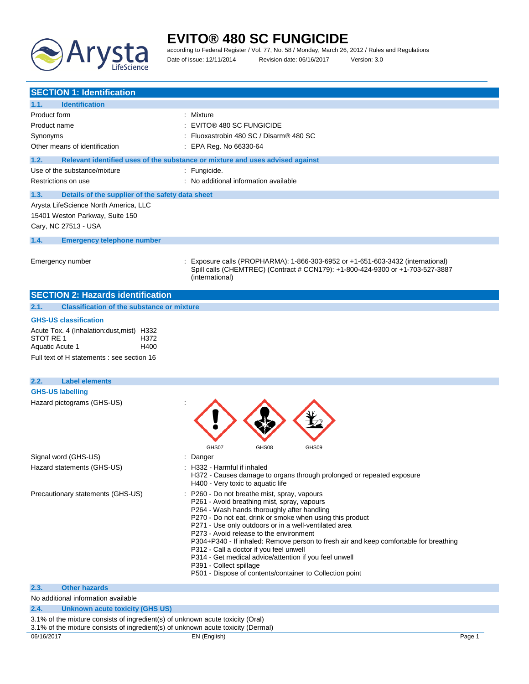

# **EVITO® 480 SC FUNGICIDE** according to Federal Register / Vol. 77, No. 58 / Monday, March 26, 2012 / Rules and Regulations

Date of issue: 12/11/2014 Revision date: 06/16/2017 Version: 3.0

| <b>SECTION 1: Identification</b>                                               |                                                                                                                                  |
|--------------------------------------------------------------------------------|----------------------------------------------------------------------------------------------------------------------------------|
| 1.1.<br><b>Identification</b>                                                  |                                                                                                                                  |
| Product form                                                                   | : Mixture                                                                                                                        |
| Product name                                                                   | : EVITO® 480 SC FUNGICIDE                                                                                                        |
| Synonyms                                                                       | : Fluoxastrobin 480 SC / Disarm® 480 SC                                                                                          |
| Other means of identification                                                  | : EPA Reg. No 66330-64                                                                                                           |
| 1.2.                                                                           | Relevant identified uses of the substance or mixture and uses advised against                                                    |
| Use of the substance/mixture                                                   |                                                                                                                                  |
|                                                                                | : Fungicide.                                                                                                                     |
| Restrictions on use                                                            | : No additional information available                                                                                            |
| 1.3.<br>Details of the supplier of the safety data sheet                       |                                                                                                                                  |
| Arysta LifeScience North America, LLC                                          |                                                                                                                                  |
| 15401 Weston Parkway, Suite 150                                                |                                                                                                                                  |
| Cary, NC 27513 - USA                                                           |                                                                                                                                  |
| 1.4.<br><b>Emergency telephone number</b>                                      |                                                                                                                                  |
|                                                                                |                                                                                                                                  |
| Emergency number                                                               | Exposure calls (PROPHARMA): 1-866-303-6952 or +1-651-603-3432 (international)                                                    |
|                                                                                | Spill calls (CHEMTREC) (Contract # CCN179): +1-800-424-9300 or +1-703-527-3887                                                   |
|                                                                                | (international)                                                                                                                  |
| <b>SECTION 2: Hazards identification</b>                                       |                                                                                                                                  |
|                                                                                |                                                                                                                                  |
| <b>Classification of the substance or mixture</b><br>2.1.                      |                                                                                                                                  |
| <b>GHS-US classification</b>                                                   |                                                                                                                                  |
| Acute Tox. 4 (Inhalation:dust, mist) H332                                      |                                                                                                                                  |
| STOT RE 1<br>H372                                                              |                                                                                                                                  |
| H400<br>Aquatic Acute 1                                                        |                                                                                                                                  |
| Full text of H statements : see section 16                                     |                                                                                                                                  |
|                                                                                |                                                                                                                                  |
| 2.2.<br><b>Label elements</b>                                                  |                                                                                                                                  |
| <b>GHS-US labelling</b>                                                        |                                                                                                                                  |
| Hazard pictograms (GHS-US)                                                     |                                                                                                                                  |
|                                                                                |                                                                                                                                  |
|                                                                                |                                                                                                                                  |
|                                                                                |                                                                                                                                  |
|                                                                                | GHS07<br>GHS08<br>GHS09                                                                                                          |
| Signal word (GHS-US)                                                           | : Danger                                                                                                                         |
| Hazard statements (GHS-US)                                                     | : H332 - Harmful if inhaled                                                                                                      |
|                                                                                | H372 - Causes damage to organs through prolonged or repeated exposure                                                            |
|                                                                                | H400 - Very toxic to aquatic life                                                                                                |
| Precautionary statements (GHS-US)                                              | P260 - Do not breathe mist, spray, vapours                                                                                       |
|                                                                                | P261 - Avoid breathing mist, spray, vapours<br>P264 - Wash hands thoroughly after handling                                       |
|                                                                                | P270 - Do not eat, drink or smoke when using this product                                                                        |
|                                                                                | P271 - Use only outdoors or in a well-ventilated area                                                                            |
|                                                                                | P273 - Avoid release to the environment                                                                                          |
|                                                                                | P304+P340 - If inhaled: Remove person to fresh air and keep comfortable for breathing<br>P312 - Call a doctor if you feel unwell |
|                                                                                | P314 - Get medical advice/attention if you feel unwell                                                                           |
|                                                                                | P391 - Collect spillage                                                                                                          |
|                                                                                | P501 - Dispose of contents/container to Collection point                                                                         |
| <b>Other hazards</b><br>2.3.                                                   |                                                                                                                                  |
| No additional information available                                            |                                                                                                                                  |
| 2.4.<br><b>Unknown acute toxicity (GHS US)</b>                                 |                                                                                                                                  |
| 3.1% of the mixture consists of ingredient(s) of unknown acute toxicity (Oral) |                                                                                                                                  |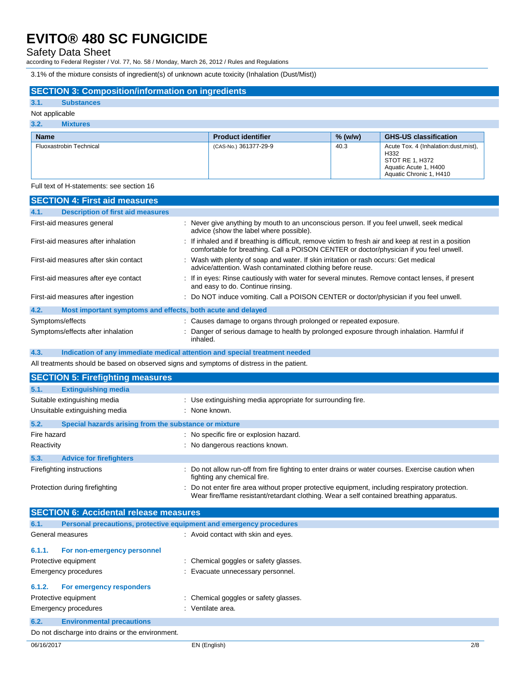## Safety Data Sheet

according to Federal Register / Vol. 77, No. 58 / Monday, March 26, 2012 / Rules and Regulations

3.1% of the mixture consists of ingredient(s) of unknown acute toxicity (Inhalation (Dust/Mist))

### **SECTION 3: Composition/information on ingredients**

### **3.1. Substances**

### Not applicable

| 3.2.<br><b>Mixtures</b> |                           |           |                                                                                                                       |
|-------------------------|---------------------------|-----------|-----------------------------------------------------------------------------------------------------------------------|
| <b>Name</b>             | <b>Product identifier</b> | $%$ (w/w) | <b>GHS-US classification</b>                                                                                          |
| Fluoxastrobin Technical | (CAS-No.) 361377-29-9     | 40.3      | Acute Tox. 4 (Inhalation: dust, mist),<br>H332<br>STOT RE 1, H372<br>Aquatic Acute 1, H400<br>Aquatic Chronic 1, H410 |

### Full text of H-statements: see section 16

|                  | <b>SECTION 4: First aid measures</b>                        |                                                                                                                                                                                                  |
|------------------|-------------------------------------------------------------|--------------------------------------------------------------------------------------------------------------------------------------------------------------------------------------------------|
| 4.1.             | <b>Description of first aid measures</b>                    |                                                                                                                                                                                                  |
|                  | First-aid measures general                                  | : Never give anything by mouth to an unconscious person. If you feel unwell, seek medical<br>advice (show the label where possible).                                                             |
|                  | First-aid measures after inhalation                         | : If inhaled and if breathing is difficult, remove victim to fresh air and keep at rest in a position<br>comfortable for breathing. Call a POISON CENTER or doctor/physician if you feel unwell. |
|                  | First-aid measures after skin contact                       | : Wash with plenty of soap and water. If skin irritation or rash occurs: Get medical<br>advice/attention. Wash contaminated clothing before reuse.                                               |
|                  | First-aid measures after eye contact                        | : If in eyes: Rinse cautiously with water for several minutes. Remove contact lenses, if present<br>and easy to do. Continue rinsing.                                                            |
|                  | First-aid measures after ingestion                          | : Do NOT induce vomiting. Call a POISON CENTER or doctor/physician if you feel unwell.                                                                                                           |
| 4.2.             | Most important symptoms and effects, both acute and delayed |                                                                                                                                                                                                  |
| Symptoms/effects |                                                             | : Causes damage to organs through prolonged or repeated exposure.                                                                                                                                |
|                  | Symptoms/effects after inhalation                           | : Danger of serious damage to health by prolonged exposure through inhalation. Harmful if<br>inhaled.                                                                                            |

#### **4.3. Indication of any immediate medical attention and special treatment needed**

All treatments should be based on observed signs and symptoms of distress in the patient.

|                                | <b>SECTION 5: Firefighting measures</b>               |                                                                                                                                                                                             |  |  |
|--------------------------------|-------------------------------------------------------|---------------------------------------------------------------------------------------------------------------------------------------------------------------------------------------------|--|--|
| 5.1.                           | <b>Extinguishing media</b>                            |                                                                                                                                                                                             |  |  |
|                                | Suitable extinguishing media                          | : Use extinguishing media appropriate for surrounding fire.                                                                                                                                 |  |  |
| Unsuitable extinguishing media |                                                       | : None known.                                                                                                                                                                               |  |  |
| 5.2.                           | Special hazards arising from the substance or mixture |                                                                                                                                                                                             |  |  |
| Fire hazard                    |                                                       | : No specific fire or explosion hazard.                                                                                                                                                     |  |  |
| Reactivity                     |                                                       | : No dangerous reactions known.                                                                                                                                                             |  |  |
| 5.3.                           | <b>Advice for firefighters</b>                        |                                                                                                                                                                                             |  |  |
|                                | Firefighting instructions                             | : Do not allow run-off from fire fighting to enter drains or water courses. Exercise caution when<br>fighting any chemical fire.                                                            |  |  |
| Protection during firefighting |                                                       | : Do not enter fire area without proper protective equipment, including respiratory protection.<br>Wear fire/flame resistant/retardant clothing. Wear a self contained breathing apparatus. |  |  |

|                      | <b>SECTION 6: Accidental release measures</b>                       |                                       |
|----------------------|---------------------------------------------------------------------|---------------------------------------|
| 6.1.                 | Personal precautions, protective equipment and emergency procedures |                                       |
|                      | General measures                                                    | : Avoid contact with skin and eyes.   |
| 6.1.1.               | For non-emergency personnel                                         |                                       |
|                      | Protective equipment                                                | : Chemical goggles or safety glasses. |
| Emergency procedures |                                                                     | : Evacuate unnecessary personnel.     |
| 6.1.2.               | For emergency responders                                            |                                       |
|                      | Protective equipment                                                | : Chemical goggles or safety glasses. |
|                      | Emergency procedures                                                | : Ventilate area.                     |
| 6.2.                 | <b>Environmental precautions</b>                                    |                                       |
|                      | Do not discharge into drains or the environment.                    |                                       |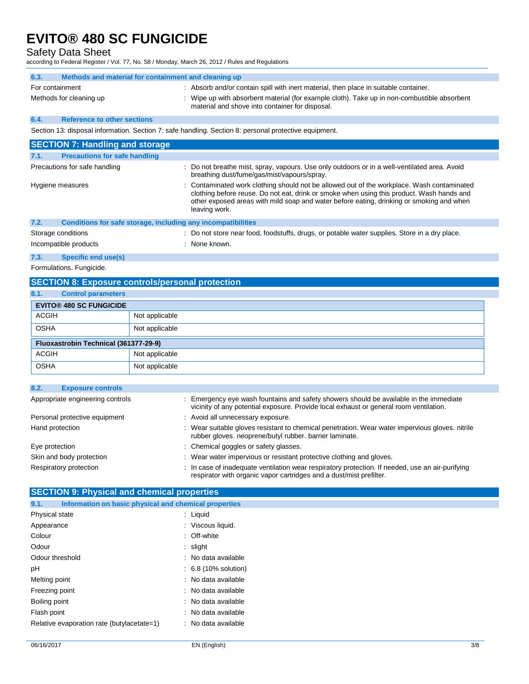## Safety Data Sheet

according to Federal Register / Vol. 77, No. 58 / Monday, March 26, 2012 / Rules and Regulations

| 6.3.            | Methods and material for containment and cleaning up |  |                                                                                                                                                                                                                                      |
|-----------------|------------------------------------------------------|--|--------------------------------------------------------------------------------------------------------------------------------------------------------------------------------------------------------------------------------------|
| For containment | Methods for cleaning up                              |  | : Absorb and/or contain spill with inert material, then place in suitable container.<br>Wipe up with absorbent material (for example cloth). Take up in non-combustible absorbent<br>material and shove into container for disposal. |
| 6.4             | <b>Reference to other sections</b>                   |  |                                                                                                                                                                                                                                      |

Section 13: disposal information. Section 7: safe handling. Section 8: personal protective equipment.

| <b>SECTION 7: Handling and storage</b>                               |                                                                                                                                                                                                                                                                                                      |
|----------------------------------------------------------------------|------------------------------------------------------------------------------------------------------------------------------------------------------------------------------------------------------------------------------------------------------------------------------------------------------|
| <b>Precautions for safe handling</b><br>7.1.                         |                                                                                                                                                                                                                                                                                                      |
| Precautions for safe handling                                        | : Do not breathe mist, spray, vapours. Use only outdoors or in a well-ventilated area. Avoid<br>breathing dust/fume/gas/mist/vapours/spray.                                                                                                                                                          |
| Hygiene measures                                                     | : Contaminated work clothing should not be allowed out of the workplace. Wash contaminated<br>clothing before reuse. Do not eat, drink or smoke when using this product. Wash hands and<br>other exposed areas with mild soap and water before eating, drinking or smoking and when<br>leaving work. |
| 7.2.<br>Conditions for safe storage, including any incompatibilities |                                                                                                                                                                                                                                                                                                      |
| Storage conditions                                                   | : Do not store near food, foodstuffs, drugs, or potable water supplies. Store in a dry place.                                                                                                                                                                                                        |
| Incompatible products                                                | : None known.                                                                                                                                                                                                                                                                                        |

**7.3. Specific end use(s)**

Formulations. Fungicide.

### **SECTION 8: Exposure controls/personal protection**

| 8.1.         | <b>Control parameters</b>             |                |
|--------------|---------------------------------------|----------------|
|              | <b>EVITO® 480 SC FUNGICIDE</b>        |                |
| <b>ACGIH</b> |                                       | Not applicable |
| <b>OSHA</b>  |                                       | Not applicable |
|              | Fluoxastrobin Technical (361377-29-9) |                |
| <b>ACGIH</b> |                                       | Not applicable |
| <b>OSHA</b>  |                                       | Not applicable |

| 8.2. | <b>Exposure controls</b>         |                                                                                                                                                                                  |  |
|------|----------------------------------|----------------------------------------------------------------------------------------------------------------------------------------------------------------------------------|--|
|      | Appropriate engineering controls | : Emergency eye wash fountains and safety showers should be available in the immediate<br>vicinity of any potential exposure. Provide local exhaust or general room ventilation. |  |
|      | Personal protective equipment    | : Avoid all unnecessary exposure.                                                                                                                                                |  |
|      | Hand protection                  | : Wear suitable gloves resistant to chemical penetration. Wear water impervious gloves. nitrile<br>rubber gloves. neoprene/butyl rubber. barrier laminate.                       |  |
|      | Eye protection                   | : Chemical goggles or safety glasses.                                                                                                                                            |  |
|      | Skin and body protection         | : Wear water impervious or resistant protective clothing and gloves.                                                                                                             |  |
|      | Respiratory protection           | : In case of inadequate ventilation wear respiratory protection. If needed, use an air-purifying<br>respirator with organic vapor cartridges and a dust/mist prefilter.          |  |

### **SECTION 9: Physical and chemical properties**

| Information on basic physical and chemical properties<br>9.1. |                                 |
|---------------------------------------------------------------|---------------------------------|
| Physical state                                                | : Liquid                        |
| Appearance                                                    | : Viscous liquid.               |
| Colour                                                        | : Off-white                     |
| Odour                                                         | $:$ slight                      |
| Odour threshold                                               | : No data available             |
| рH                                                            | $\therefore$ 6.8 (10% solution) |
| Melting point                                                 | : No data available             |
| Freezing point                                                | : No data available             |
| Boiling point                                                 | : No data available             |
| Flash point                                                   | : No data available             |
| Relative evaporation rate (butylacetate=1)                    | : No data available             |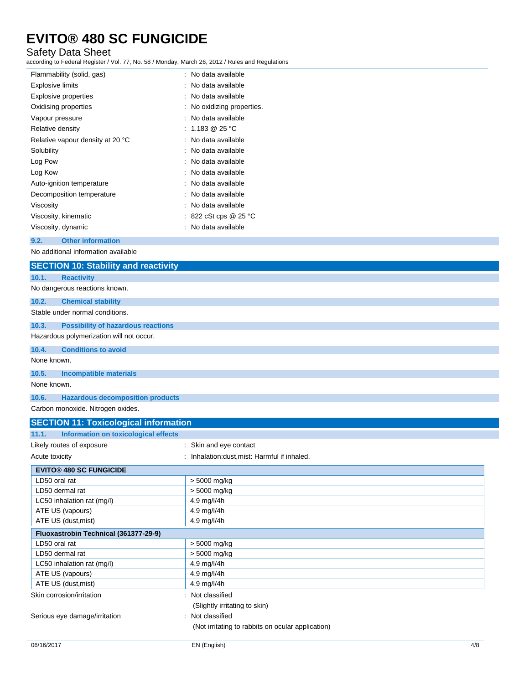## Safety Data Sheet

according to Federal Register / Vol. 77, No. 58 / Monday, March 26, 2012 / Rules and Regulations

| Flammability (solid, gas)        | : No data available        |
|----------------------------------|----------------------------|
| <b>Explosive limits</b>          | : No data available        |
| <b>Explosive properties</b>      | : No data available        |
| Oxidising properties             | : No oxidizing properties. |
| Vapour pressure                  | : No data available        |
| Relative density                 | : 1.183 @ 25 °C            |
| Relative vapour density at 20 °C | : No data available        |
| Solubility                       | : No data available        |
| Log Pow                          | : No data available        |
| Log Kow                          | : No data available        |
| Auto-ignition temperature        | : No data available        |
| Decomposition temperature        | : No data available        |
| Viscosity                        | : No data available        |
| Viscosity, kinematic             | 822 cSt cps @ 25 °C        |
| Viscosity, dynamic               | No data available          |

#### **9.2. Other information**

No additional information available

|             | <b>SECTION 10: Stability and reactivity</b>  |
|-------------|----------------------------------------------|
| 10.1.       | <b>Reactivity</b>                            |
|             | No dangerous reactions known.                |
| 10.2.       | <b>Chemical stability</b>                    |
|             | Stable under normal conditions.              |
| 10.3.       | <b>Possibility of hazardous reactions</b>    |
|             | Hazardous polymerization will not occur.     |
| 10.4.       | <b>Conditions to avoid</b>                   |
| None known. |                                              |
| 10.5.       | <b>Incompatible materials</b>                |
| None known. |                                              |
| 10.6.       | <b>Hazardous decomposition products</b>      |
|             | Carbon monoxide. Nitrogen oxides.            |
|             | <b>SECTION 11: Toxicological information</b> |
| 11.1.       | Information on toxicological effects         |

| Likely routes of exposure             | : Skin and eye contact                            |  |
|---------------------------------------|---------------------------------------------------|--|
| Acute toxicity                        | : Inhalation: dust, mist: Harmful if inhaled.     |  |
| <b>EVITO® 480 SC FUNGICIDE</b>        |                                                   |  |
| LD50 oral rat                         | > 5000 mg/kg                                      |  |
| LD50 dermal rat                       | > 5000 mg/kg                                      |  |
| LC50 inhalation rat (mg/l)            | 4.9 mg/l/4h                                       |  |
| ATE US (vapours)                      | 4.9 mg/l/4h                                       |  |
| ATE US (dust, mist)                   | 4.9 mg/l/4h                                       |  |
| Fluoxastrobin Technical (361377-29-9) |                                                   |  |
| LD50 oral rat                         | > 5000 mg/kg                                      |  |
| LD50 dermal rat                       | > 5000 mg/kg                                      |  |
| LC50 inhalation rat (mg/l)            | 4.9 mg/l/4h                                       |  |
| ATE US (vapours)                      | 4.9 mg/l/4h                                       |  |
| ATE US (dust, mist)                   | 4.9 mg/l/4h                                       |  |
| Skin corrosion/irritation             | : Not classified                                  |  |
|                                       | (Slightly irritating to skin)                     |  |
| Serious eye damage/irritation         | : Not classified                                  |  |
|                                       | (Not irritating to rabbits on ocular application) |  |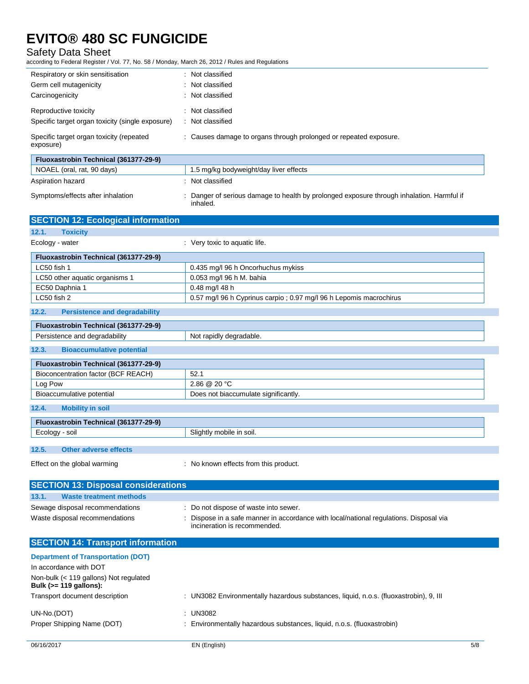### Safety Data Sheet

according to Federal Register / Vol. 77, No. 58 / Monday, March 26, 2012 / Rules and Regulations

| Respiratory or skin sensitisation                     | Not classified<br>÷.                                              |
|-------------------------------------------------------|-------------------------------------------------------------------|
| Germ cell mutagenicity                                | : Not classified                                                  |
| Carcinogenicity                                       | : Not classified                                                  |
| Reproductive toxicity                                 | : Not classified                                                  |
| Specific target organ toxicity (single exposure)      | : Not classified                                                  |
| Specific target organ toxicity (repeated<br>exposure) | : Causes damage to organs through prolonged or repeated exposure. |
| Fluoxastrobin Technical (361377-29-9)                 |                                                                   |
| NOAEL (oral, rat, 90 days)                            | 1.5 mg/kg bodyweight/day liver effects                            |
| Aspiration hazard                                     | Not classified                                                    |

| Aspiration hazard | $:$ Not c |
|-------------------|-----------|
|                   |           |

Symptoms/effects after inhalation : Danger of serious damage to health by prolonged exposure through inhalation. Harmful if inhaled.

| <b>SECTION 12: Ecological information</b>     |                                                                     |  |
|-----------------------------------------------|---------------------------------------------------------------------|--|
| 12.1.<br><b>Toxicity</b>                      |                                                                     |  |
| Ecology - water                               | : Very toxic to aquatic life.                                       |  |
| Fluoxastrobin Technical (361377-29-9)         |                                                                     |  |
| LC50 fish 1                                   | 0.435 mg/l 96 h Oncorhuchus mykiss                                  |  |
| LC50 other aquatic organisms 1                | 0.053 mg/l 96 h M. bahia                                            |  |
| EC50 Daphnia 1                                | 0.48 mg/l 48 h                                                      |  |
| LC50 fish 2                                   | 0.57 mg/l 96 h Cyprinus carpio : 0.97 mg/l 96 h Lepomis macrochirus |  |
| 12.2.<br><b>Persistence and degradability</b> |                                                                     |  |

### **Fluoxastrobin Technical (361377-29-9)**

| Persistence and degradability         |                                         | Not rapidly degradable. |
|---------------------------------------|-----------------------------------------|-------------------------|
| 12.3.                                 | <b>Bioaccumulative potential</b>        |                         |
| Fluoxastrobin Technical (361377-29-9) |                                         |                         |
|                                       | <b>District Controllers</b> (BOE DEAOU) | $\sim$ $\sim$           |

| Bioconcentration factor (BCF REACH) | 52.1                                 |
|-------------------------------------|--------------------------------------|
| Log Pow                             | $2.86 \ @ \ 20 \degree C$            |
| Bioaccumulative potential           | Does not biaccumulate significantly. |
|                                     |                                      |
| 12.4<br><b>Mobility in soil</b>     |                                      |

| Fluoxastrobin Technical (361377-29-9) |                       |                          |
|---------------------------------------|-----------------------|--------------------------|
| Ecology - soil                        |                       | Slightly mobile in soil. |
|                                       |                       |                          |
| 12.5                                  | Other adverse effects |                          |

Effect on the global warming : No known effects from this product.

| <b>SECTION 13: Disposal considerations</b>                         |                                                                                                                        |     |
|--------------------------------------------------------------------|------------------------------------------------------------------------------------------------------------------------|-----|
| 13.1.<br><b>Waste treatment methods</b>                            |                                                                                                                        |     |
| Sewage disposal recommendations                                    | : Do not dispose of waste into sewer.                                                                                  |     |
| Waste disposal recommendations                                     | : Dispose in a safe manner in accordance with local/national regulations. Disposal via<br>incineration is recommended. |     |
| <b>SECTION 14: Transport information</b>                           |                                                                                                                        |     |
| <b>Department of Transportation (DOT)</b>                          |                                                                                                                        |     |
| In accordance with DOT                                             |                                                                                                                        |     |
| Non-bulk (< 119 gallons) Not regulated<br>Bulk $(>= 119$ gallons): |                                                                                                                        |     |
| Transport document description                                     | : UN3082 Environmentally hazardous substances, liquid, n.o.s. (fluoxastrobin), 9, III                                  |     |
| UN-No.(DOT)                                                        | : $UN3082$                                                                                                             |     |
| Proper Shipping Name (DOT)                                         | : Environmentally hazardous substances, liquid, n.o.s. (fluoxastrobin)                                                 |     |
| 06/16/2017                                                         | EN (English)                                                                                                           | 5/8 |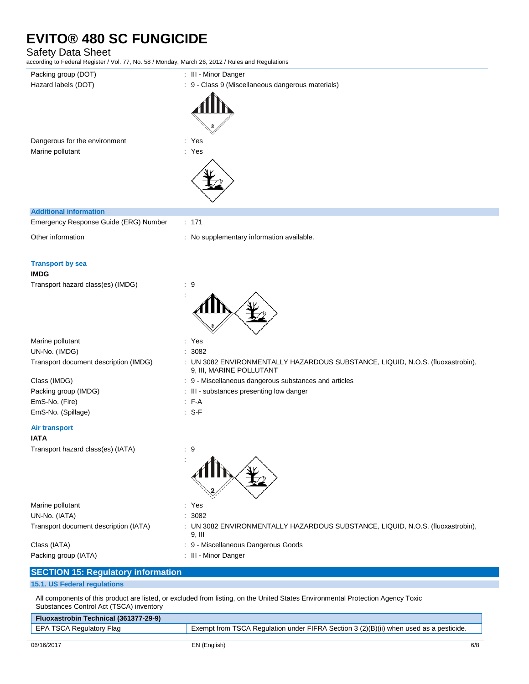## Safety Data Sheet

according to Federal Register / Vol. 77, No. 58 / Monday, March 26, 2012 / Rules and Regulations

| according to Federal Register / Vol. 77, No. 58 / Monday, March 26, 2012 / Rules and Regulations |                                                                                                            |
|--------------------------------------------------------------------------------------------------|------------------------------------------------------------------------------------------------------------|
| Packing group (DOT)                                                                              | : III - Minor Danger                                                                                       |
| Hazard labels (DOT)                                                                              | : 9 - Class 9 (Miscellaneous dangerous materials)                                                          |
| Dangerous for the environment                                                                    | : Yes                                                                                                      |
| Marine pollutant                                                                                 | : Yes                                                                                                      |
| <b>Additional information</b>                                                                    |                                                                                                            |
| Emergency Response Guide (ERG) Number                                                            | : 171                                                                                                      |
| Other information                                                                                | : No supplementary information available.                                                                  |
| <b>Transport by sea</b><br><b>IMDG</b>                                                           |                                                                                                            |
| Transport hazard class(es) (IMDG)                                                                | : 9                                                                                                        |
| Marine pollutant                                                                                 | : Yes                                                                                                      |
| UN-No. (IMDG)                                                                                    | 3082                                                                                                       |
| Transport document description (IMDG)                                                            | : UN 3082 ENVIRONMENTALLY HAZARDOUS SUBSTANCE, LIQUID, N.O.S. (fluoxastrobin),<br>9, III, MARINE POLLUTANT |
| Class (IMDG)                                                                                     | : 9 - Miscellaneous dangerous substances and articles                                                      |
| Packing group (IMDG)                                                                             | : III - substances presenting low danger                                                                   |
| EmS-No. (Fire)                                                                                   | $F-A$                                                                                                      |
| EmS-No. (Spillage)                                                                               | $: S-F$                                                                                                    |
| <b>Air transport</b><br>IATA                                                                     |                                                                                                            |
| Transport hazard class(es) (IATA)                                                                | $\cdot$ 9                                                                                                  |
| Marine pollutant                                                                                 | : Yes                                                                                                      |
| UN-No. (IATA)                                                                                    | 3082                                                                                                       |
| Transport document description (IATA)                                                            | UN 3082 ENVIRONMENTALLY HAZARDOUS SUBSTANCE, LIQUID, N.O.S. (fluoxastrobin),<br>9, III                     |
| Class (IATA)                                                                                     | : 9 - Miscellaneous Dangerous Goods                                                                        |
| Packing group (IATA)                                                                             | : III - Minor Danger                                                                                       |
| <b>SECTION 15: Regulatory information</b>                                                        |                                                                                                            |
| <b>15.1. US Federal regulations</b>                                                              |                                                                                                            |

All components of this product are listed, or excluded from listing, on the United States Environmental Protection Agency Toxic Substances Control Act (TSCA) inventory

| Fluoxastrobin Technical (361377-29-9) |                                                                                        |
|---------------------------------------|----------------------------------------------------------------------------------------|
| EPA TSCA Regulatory Flag              | Exempt from TSCA Regulation under FIFRA Section 3 (2)(B)(ii) when used as a pesticide. |
|                                       |                                                                                        |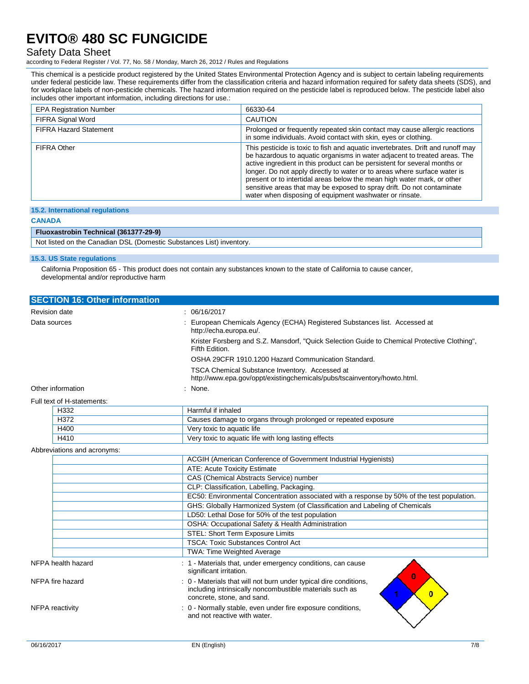### Safety Data Sheet

according to Federal Register / Vol. 77, No. 58 / Monday, March 26, 2012 / Rules and Regulations

This chemical is a pesticide product registered by the United States Environmental Protection Agency and is subject to certain labeling requirements under federal pesticide law. These requirements differ from the classification criteria and hazard information required for safety data sheets (SDS), and for workplace labels of non-pesticide chemicals. The hazard information required on the pesticide label is reproduced below. The pesticide label also includes other important information, including directions for use.:

| <b>EPA Registration Number</b> | 66330-64                                                                                                                                                                                                                                                                                                                                                                                                                                                                                                                               |
|--------------------------------|----------------------------------------------------------------------------------------------------------------------------------------------------------------------------------------------------------------------------------------------------------------------------------------------------------------------------------------------------------------------------------------------------------------------------------------------------------------------------------------------------------------------------------------|
| FIFRA Signal Word              | <b>CAUTION</b>                                                                                                                                                                                                                                                                                                                                                                                                                                                                                                                         |
| <b>FIFRA Hazard Statement</b>  | Prolonged or frequently repeated skin contact may cause allergic reactions<br>in some individuals. Avoid contact with skin, eyes or clothing.                                                                                                                                                                                                                                                                                                                                                                                          |
| FIFRA Other                    | This pesticide is toxic to fish and aquatic invertebrates. Drift and runoff may<br>be hazardous to aquatic organisms in water adjacent to treated areas. The<br>active ingredient in this product can be persistent for several months or<br>longer. Do not apply directly to water or to areas where surface water is<br>present or to intertidal areas below the mean high water mark, or other<br>sensitive areas that may be exposed to spray drift. Do not contaminate<br>water when disposing of equipment washwater or rinsate. |

#### **15.2. International regulations**

#### **CANADA**

#### **Fluoxastrobin Technical (361377-29-9)**

Not listed on the Canadian DSL (Domestic Substances List) inventory.

#### **15.3. US State regulations**

California Proposition 65 - This product does not contain any substances known to the state of California to cause cancer, developmental and/or reproductive harm

| <b>SECTION 16: Other information</b> |                                                                                                                                   |
|--------------------------------------|-----------------------------------------------------------------------------------------------------------------------------------|
| <b>Revision date</b>                 | : 06/16/2017                                                                                                                      |
| Data sources                         | : European Chemicals Agency (ECHA) Registered Substances list. Accessed at<br>http://echa.europa.eu/.                             |
|                                      | Krister Forsberg and S.Z. Mansdorf, "Quick Selection Guide to Chemical Protective Clothing",<br>Fifth Edition.                    |
|                                      | OSHA 29CFR 1910.1200 Hazard Communication Standard.                                                                               |
|                                      | <b>TSCA Chemical Substance Inventory. Accessed at</b><br>http://www.epa.gov/oppt/existingchemicals/pubs/tscainventory/howto.html. |
| Other information                    | : None.                                                                                                                           |
| Full text of H-statements:           |                                                                                                                                   |
|                                      |                                                                                                                                   |

| H332 | Harmful if inhaled                                             |
|------|----------------------------------------------------------------|
| H372 | Causes damage to organs through prolonged or repeated exposure |
| H400 | Very toxic to aquatic life                                     |
| H410 | Very toxic to aquatic life with long lasting effects           |

#### Abbreviations and acronyms:

|                    |  | ACGIH (American Conference of Government Industrial Hygienists)                                                                                             |
|--------------------|--|-------------------------------------------------------------------------------------------------------------------------------------------------------------|
|                    |  | ATE: Acute Toxicity Estimate                                                                                                                                |
|                    |  | CAS (Chemical Abstracts Service) number                                                                                                                     |
|                    |  | CLP: Classification, Labelling, Packaging.                                                                                                                  |
|                    |  | EC50: Environmental Concentration associated with a response by 50% of the test population.                                                                 |
|                    |  | GHS: Globally Harmonized System (of Classification and Labeling of Chemicals                                                                                |
|                    |  | LD50: Lethal Dose for 50% of the test population                                                                                                            |
|                    |  | OSHA: Occupational Safety & Health Administration                                                                                                           |
|                    |  | STEL: Short Term Exposure Limits                                                                                                                            |
|                    |  | <b>TSCA: Toxic Substances Control Act</b>                                                                                                                   |
|                    |  | <b>TWA: Time Weighted Average</b>                                                                                                                           |
| NFPA health hazard |  | : 1 - Materials that, under emergency conditions, can cause<br>significant irritation.<br>$\bf{0}$                                                          |
| NFPA fire hazard   |  | : 0 - Materials that will not burn under typical dire conditions,<br>including intrinsically noncombustible materials such as<br>concrete, stone, and sand. |
| NFPA reactivity    |  | : 0 - Normally stable, even under fire exposure conditions,<br>and not reactive with water.                                                                 |